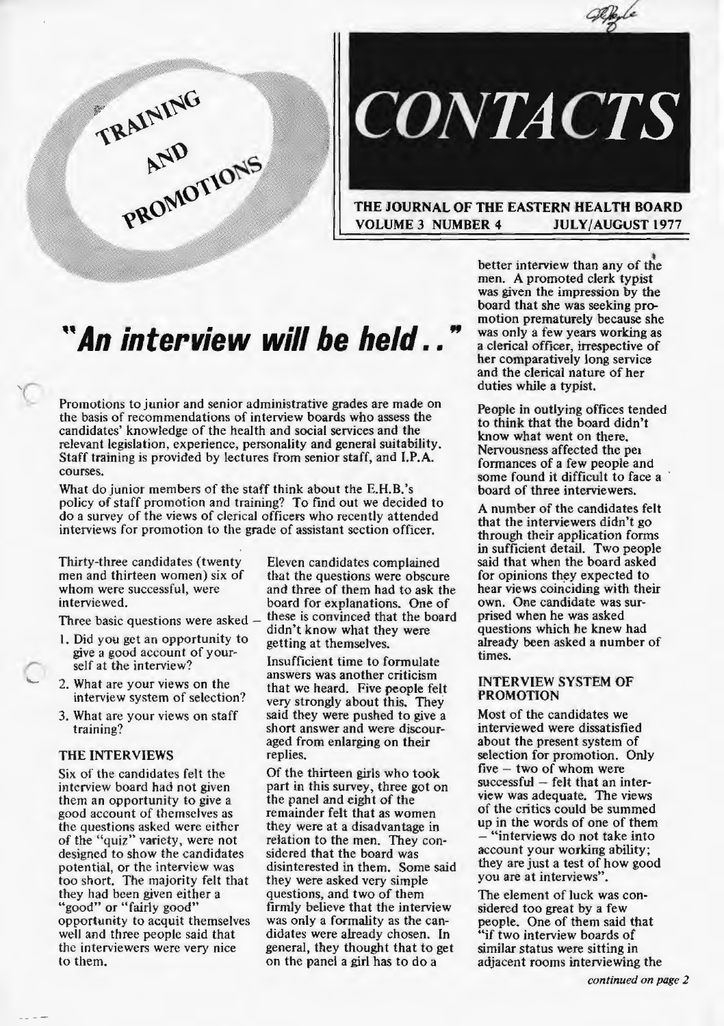



#### THE JOURNAL OF THE EASTERN HEALTH BOARD VOLUME 3 NUMBER 4 JULY/AUGUST 1977

# *"An interview will be held .*. "

Promotions to junior and senior administrative grades are made on the basis of recommendations of interview boards who assess the candidates' knowledge of the health and social services and the relevant legislation, experience, personality and general suitability. Staff training is provided by lectures from senior staff, and I.P.A. courses.

What do junior members of the staff think about the E.H.B.'s policy of staff promotion and training? To find out we decided to do a survey of the views of clerical officers who recently attended interviews for promotion to the grade of assistant section officer.

Thirty-three candidates (twenty Eleven candidates complained men and thirteen women) six of that the questions were obscure<br>whom were successful, were and three of them had to ask the

- 1. Did you get an opportunity to give a good account of your-<br>self at the interview? Insufficient time to formulate
- 2. What are your views on the interview system of selection?
- 3. What are your views on staff training?

#### THE INTERVIEWS

Six of the candidates felt the interview board had not given them an opportunity to give a good account of themselves as the questions asked were either of the ''quiz" variety, were not designed to show the candidates potential, or the interview was too short. The majority felt that they had been given either a "good" or "fairly good" opportunity to acquit themselves well and three people said that the interviewers were very nice to them.

whom were successful, were and three of them had to ask the interviewed.<br>board for explanations. One of board for explanations. One of<br>these is convinced that the board Three basic questions were asked  $-$  these is convinced that the b<br>1. Did you get an opportunity to getting at themselves.

> answers was another criticism that we heard. Five people felt very strongly about this. They said they were pushed to give a short answer and were discouraged from enlarging on their replies.

Of the thirteen girls who took part in this survey, three got on the panel and eight of the remainder felt that as women they were at a disadvantage in relation to the men. They considered that the board was disinterested in them. Some said they were asked very simple questions, and two of them firmly believe that the interview was only a formality as the candidates were already chosen. In general, they thought that to get on the panel a girl has to do a

better interview than any of the men. A promoted clerk typist was given the impression by the board that she was seeking promotion prematurely because she was only a few years working as a clerical officer, irrespective of her comparatively long service and the clerical nature of her duties while a typist.

People in outlying offices tended to think that the board didn't know what went on there. Nervousness affected the pe1 formances of a few people and some found it difficult to face a board of three interviewers.

A number of the candidates felt that the interviewers didn't go through their application forms in sufficient detail. Two people said that when the board asked for opinions they expected to hear views coinciding with their own. One candidate was surprised when he was asked questions which he knew had already been asked a number of times.

#### INTERVIEW SYSTEM OF PROMOTION

Most of the candidates we interviewed were dissatisfied about the present system of selection for promotion. Only five - two of whom were  $successful - felt that an inter$ view was adequate. The views of the critics could be summed up in the words of one of them - "interviews do not take into account your working ability; they are just a test of how good you are at interviews".

The element of luck was considered too great by a few people. One of them said that "if two interview boards of similar status were sitting in adjacent rooms interviewing the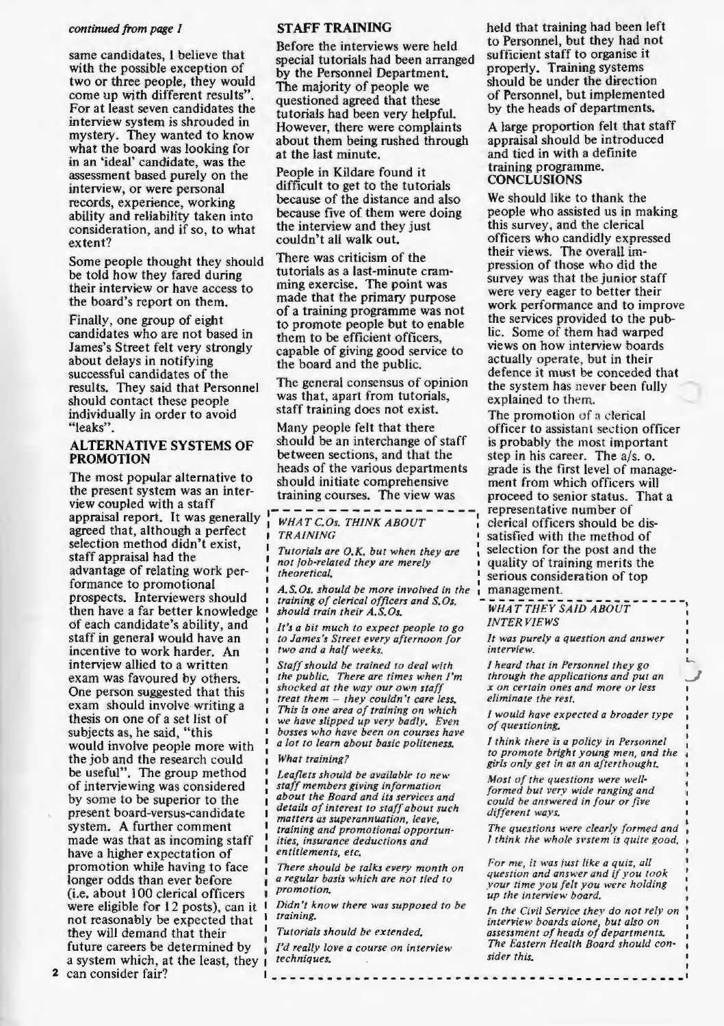#### *continued from page* 1

same candidates, 1 believe that with the possible exception of two or three people, they would come up with different results". For at least seven candidates the interview system is shrouded in mystery. They wanted to know what the board was looking for in an 'ideal' candidate, was the assessment based purely on the interview, or were personal records, experience, working ability and reliability taken into consideration, and if so, to what extent?

Some people thought they should be told how they fared during their interview or have access to the board's report on them.

Finally, one group of eight candidates who are not based in James's Street felt very strongly about delays in notifying successful candidates of the results. They said that Personnel should contact these people individually in order to avoid "leaks".

#### ALTERNATIVE SYSTEMS OF PROMOTION

The most popular alternative to the present system was an interview coupled with a staff appraisal report. It was generally agreed that, although a perfect selection method didn't exist, staff appraisal had the advantage of relating work performance to promotional prospects. Interviewers should then have a far better knowledge of each candidate's ability, and staff in generai would have an incentive to work harder. An interview allied to a written exam was favoured by others. One person suggested that this exam should involve writing a thesis on one of a set list of subjects as, he said, "this would involve people more with the job and the research could be useful". The group method of interviewing was considered by some to be superior to the present board-versus-candidate system. A further comment made was that as incoming staff have a higher expectation of promotion while having to face longer odds than ever before (i.e. about 1 00 clerical officers were eligible for 12 posts), can it not reasonably be expected that they will demand that their future careers be determined by a system which, at the least, they

#### STAFF TRAINING

Before the interviews were held special tutorials had been arranged by the Personnel Department. The majority of people we questioned agreed that these tutorials had been very helpful. However, there were complaints about them being rushed through at the last minute.

People in Kildare found it difficult to get to the tutorials because of the distance and also because five of them were doing the interview and they just couldn't all walk out.

There was criticism of the tutorials as a last-minute cramming exercise. The point was made that the primary purpose of a training programme was not to promote people but to enable them to be efficient officers, capable of giving good service to the board and the public.

The general consensus of opinion the system has never been fully was that, apart from tutorials, explained to them.<br>staff training does not exist. The promotion of

Many people felt that there officer to assistant section officer should be an interchange of staff is probably the most important between sections, and that the step in his career. The  $a/s$ , o. heads of the various departments grade is the first level of manageshould initiate comprehensive ment from which officers will

*WHAT C.Os. THINK ABOUT* TRAINING

*not job-related they are merely theoretical.* 

A.S.Os. should be more involved in the *training of clerical officers and S.Os.*  $\overline{wHAT}$  *THEY SAID ABOUT* should train their A.S.Os.

*It's a bit much to expect people to go to James's Street every afternoon for two and a half weeks.* 

*Staff should be trained to deal with the public. There are times when I'm shocked at the way our own staff treat them* - *they couldn't care less. This is one area of training on which we have slipped up very badly. Even bosses who have been on courses have a lot to learn about basic politeness.* 

#### *What training?*

*Leaflets should be available to new staff members giving information about the Board and its services and details of interest to staff about such matters as superannuation, leave, training and promotional opportunities, insurance deductions and entiflements, etc.* 

*There should be talks every month on a regular basis which are not tied to promotion.* 

*Didn't know there was supposed to be training.* 

*Tutorials should be extended.* 

<u> | \_\_\_\_\_\_\_\_\_\_\_</u>

*I'd really love a course on interview techniques.* 

held that training had been left to Personnel, but they had not sufficient staff to organise it properly. Training systems should be under the direction of Personnel, but implemented by the heads of departments.

A large proportion felt that staff appraisal should be introduced and tied in with a definite training programme. **CONCLUSIONS** 

We should like to thank the people who assisted us in making this survey, and the clerical officers who candidly expressed their views. The overall impression of those who did the survey was that the junior staff were very eager to better their work performance and to improve the services provided to the public. Some of them had warped views on how interview boards actually operate, but in their defence it must be conceded that

The promotion of a clerical step in his career. The  $a/s$ . o. training courses. The view was proceed to senior status. That a representative number of<br>clerical officers should be dissatisfied with the method of *Tutorials are O.K. but when they are* selection for the post and the *not job-related they are merely* **quality** of training merits the *serious consideration of top management.* 

*INTERVIEWS* 

*It was purely a question and answer interview.* 

,\_ *\_j* 

*I heard that in Personnel they go through the applications and put an x on certain ones and more or less eliminate the rest.* 

*I* would have expected a broader type *of questioning.* 

*I think there is a policy in Personnel to promote bright young men, and the girls only get in as an afterthought.* 

*Most of the questions were well-· formed but very wide ranging and could be answered in four or five different ways.* 

*The questions were clearly formed and I think the whole svstem is quite good.* 

*For me, it was iust like a quiz, all question and answer and if you took your time you felt you were holding up the interview board.* 

*In the Civil Service thev do not relv on interview boards alone; but also on assessment of heads of departments. The Eastern Health Board should consider this.* 

---------------------

2 can consider fair?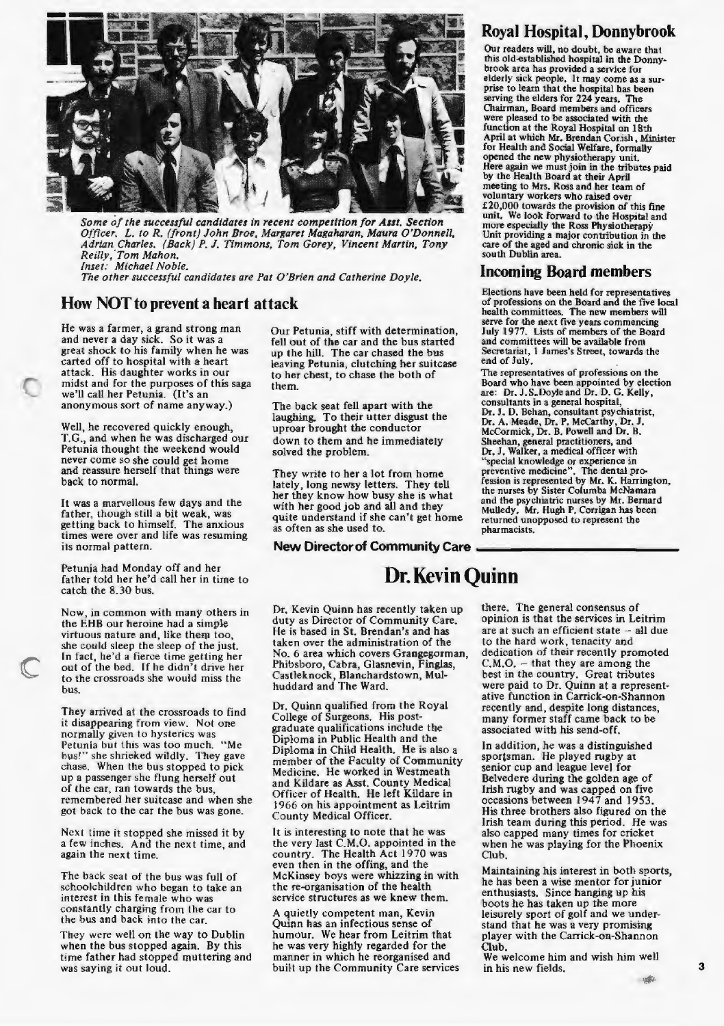

*Some of the successful candidates in recent competition [or Asst. Section Officer.* L. *to R. (front) John Broe, Margaret Magaharan, Maura O'Donnell, Adrian Charles. (Back) P. J. Timmons, Tom Gorey, Vincent Martin, Tony Reilly, 'Tom Mahon. Inset: Michael Noble.* 

*The other successful candidates are Pat O'Brien and Catherine Doyle.* 

#### **How NOT to prevent a heart attack**

He was a farmer, a grand strong man and never a day sick. So it was a great shock to his family when he was carted off to hospital with a heart attack. His daughter works in our midst and for the purposes of this saga we'll call her Petunia. (It's an anonymous sort of name anyway.)

Well, he recovered quickly enough, T.G., and when he was discharged our Petunia thought the weekend would never come so she could get home<br>and reassure herself that things were back to normal.

It was a marvellous few days and the father, though still a bit weak, was getting back to himself. The anxious times were over and life was resuming<br>its normal pattern. getting back to himself. The anxious as often as she used to.<br>
times were over and life was resuming<br>
its normal pattern.<br> **New Director of Community Care** 

Petunia had Monday off and her father told her he'd call her in time to catch the 8.30 bus.

Now, in common with many others in the EHB our heroine had a simple virtuous nature and, like them too, she could sleep the sleep of the just. In fact, he'd a fierce time getting her out of the bed. If he didn't drive her to the crossroads she would miss the bus.

They arrived at the crossroads to find it disappearing from view. Not one normally given to hysterics was Petunia but this was too much. "Me bus!" she shrieked wildly. They gave chase. When the bus stopped to pick up a passenger she flung herself out of the car, ran towards the bus, remembered her suitcase and when she got back to the car the bus was gone.

Next time it stopped she missed it by a few inches. And the next time, and again the next time.

The back scat of the bus was full of schoolchildren who began to take an interest in this female who was constantly charging from the car to the bus and back into the car.

They were well on the way to Dublin when the bus stopped again. By this time father had stopped muttering and was saying it out loud.

Our Petunia, stiff with determination, fell out of the car and the bus started up the hill. The car chased the bus leaving Petunia, clutching her suitcase to her chest, to chase the both of them.

The back seat fell apart with the laughing. To their utter disgust the uproar brought the conductor down to them and he immediately solved the problem\_

They write to her a lot from home lately, long newsy letters. They tell her they know how busy she is what with her good job and all and they quite understand if she can't get home as often as she used to.

## **Royal Hospital, Donnybrook**

Our readers will, no doubt, be aware that<br>this old-established hospital in the Donnybrook area has provided a service for<br>elderly sick people. It may come as a surprise to learn that the hospital has been serving the elders for 224 years. The<br>Chairman, Board members and officers Cllairman, Board members and officers were pleased to be associated with the function at the Royal Hospital on 18th April at which Mr. Brendan Cor.ish, Minister for Health and Social Welfare, formally opened the new physiotherapy unit. Here again we must join in the tributes paid<br>by the Health Board at their April meeting to Mrs. Ross and her team of<br>voluntary workers who raised over E20,000 towards the provision of this fine<br>unit. We look forward to the Hospital and more especially the Ross Physiotherapy<br>Unit providing a major contribution in the<br>care of the aged and chronic sick in the south Dublin area.

#### **Incoming Board members**

Elections have been held for representatives of professions on the Board and the five local health committees. The new members will serve for the next five years commencing July 1977. Lists of members of the Board and committees will be available from Secretariat, 1 James's Street, towards the end of July.

The representatives of professions on the<br>Board who have been appointed by election are: Dr. J.S. Doyle and Dr. D. G. Kelly, consultants in a general hospital, Dr. J. D. Behan, consultant psychiatrist, Dr. A. Meade, Dr. P. McCarthy, Dr. J. McCormick, Dr. B. Powell and Dr. B. Sheehan, general practitioners, and Dr. J. Walker, a medical officer with "special knowledge or experience in<br>preventive medicine". The dental pro-<br>fession is represented by Mr. K. Harrington,<br>the nurses by Sister Columba McNamara and the psychiatric nurses by Mr. Bernard<br>Mulledy. Mr. Hugh P. Corrigan has been returned unopposed to represent the pharmacists.

## **Dr. Kevin Quinn**

Dr. Kevin Quinn has recently taken up duty as Director of Community Care. He is based in St. Brendan's and has taken over the administration of the No. 6 area which covers Grangegorman, Phibsboro, Cabra, Giasnevin, Finglas, Castleknock, Blanchardstown, Mulhuddard and The Ward.

Dr. Quinn qualified from the Royal College of Surgeons. His postgraduate qualifications include the Diploma in Public Health and the Diploma in Child Health. He is also a member of the Faculty of Community Medicine. He worked in Westmeath and Kildare as Asst. County Medical Officer of Health. He left Kildare in 1966 on his appointment as Leitrim County MedicaJ Officer.

It is interesting to note that he was the very last C.M.O. appointed in the country. The Health Act 1970 was even then in the offing, and the McKinsey boys were whizzing in with the re-organisation of the health service structures as we knew them.

A quietly competent man, Kevin Quinn has an infectious sense of humour. We hear from Leitrim that he was very highly regarded for the manner in which he reorganised and built up the Community Care services

there. The general consensus of opinion is that the services in Leitrim are at such an efficient state - all due to the hard work, tenacity and dedication of their recently promoted  $C.M.O. -$  that they are among the best in the country. Great tributes were paid to Dr. Quinn at a representative function in Carrick-on-Shannon recently and, despite long distances, many former staff came back to be associated with his send-off.

In addition, he was a distinguished sportsman. He played rugby at senior cup and league level for Belvedere during the golden age of Irish rugby and was capped on five occasions between 1947 and 1953. His three brothers also figured on the Irish team during this period. He was also capped many times for cricket when he was playing for the Phoenix Club.

Maintaining his interest in both sports, he has been a wise mentor for junior enthusiasts. Since hanging up his boots he has taken up the more leisurely sport of golf and we understand that he was a very promising player with the Carrick-on-Shannon Club.

We welcome him and wish him well in his new fields. 3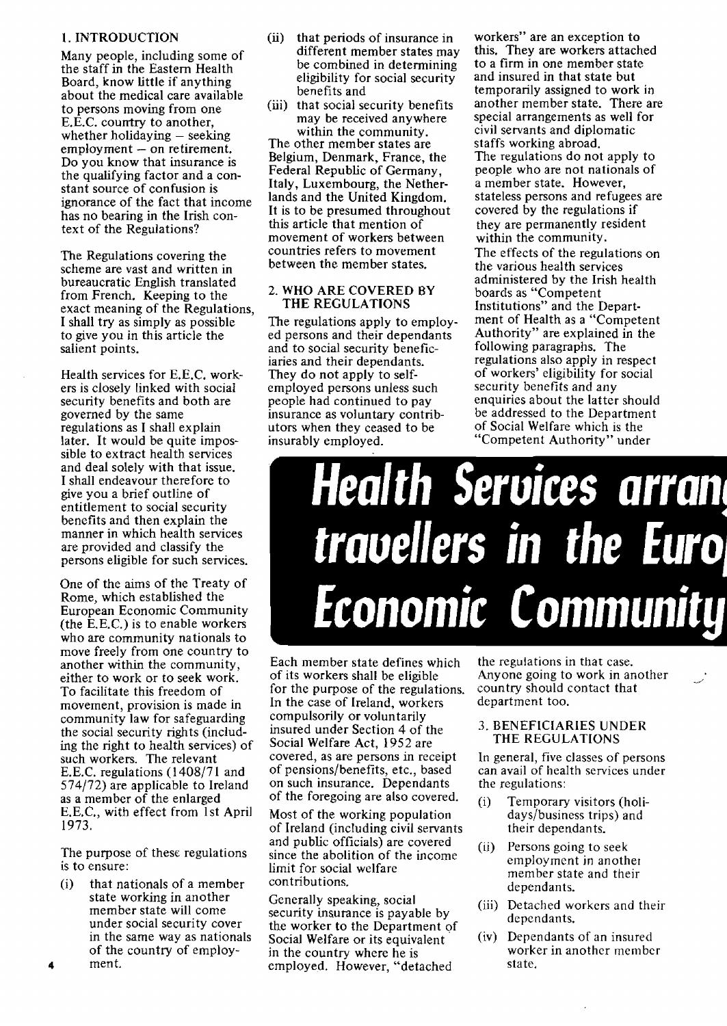#### 1. INTRODUCTION

Many people, including some of the staff in the Eastern Health Board, know little if anything about the medical care available to persons moving from one E.E.C. country to another, whether holidaying  $-$  seeking  $employment - on retirement.$ Do you know that insurance is the qualifying factor and a constant source of confusion is ignorance of the fact that income has no bearing in the Irish context of the Regulations?

The Regulations covering the scheme are vast and written in bureaucratic English translated from French. Keeping to the exact meaning of the Regulations, I shall try as simply as possible to give you in this article the salient points.

Health services for E.E.C. workers is closely linked with social security benefits and both are governed by the same regulations as I shall explain later. It would be quite impossible to extract health services and deal solely with that issue. I shall endeavour therefore to give you a brief outline of entitlement to social security benefits and then explain the manner in which health services are provided and classify the persons eligible for such services.

One of the aims of the Treaty of Rome, which established the European Economic Community (the E.E.C.) is to enable workers who are community nationals to move freely from one country to another within the community, either to work or to seek work. To facilitate this freedom of movement, provision is made in community law for safeguarding the social security rights (including the right to health services) of such workers. The relevant E.E.C. regulations (1408/71 and 574/72) are applicable *to* Ireland as a member of the enlarged E.E.C., with effect from 1st April 1973.

The purpose of these regulations is to ensure:

(i) that nationals of a member state working in another member state will come under social security cover in the same way as nationals of the country of employ-4 ment.

- (ii) that periods of insurance in different member states may be combined in determining eligibility for social security benefits and
- (iii) that social security benefits may be received anywhere within the community.

The other member states are Belgium, Denmark, France, the Federal Republic of Germany, Italy, Luxembourg, the Netherlands and the United Kingdom. It is to be presumed throughout this article that mention of movement of workers between countries refers to movement between the member states.

#### 2. WHO ARE COVERED BY THE REGULATIONS

The regulations apply to employed persons and their dependants and to social security beneficiaries and their dependants. They do not apply to selfemployed persons unless such people had continued to pay insurance as voluntary contributors when they ceased to be insurably employed.

workers" are an exception to this. They are workers attached to a firm in one member state and insured in that state but temporarily assigned to work in another member state. There are special arrangements as well for civil servants and diplomatic staffs working abroad. The regulations do not apply to people who are not nationals of a member state. However, stateless persons and refugees are covered by the regulations if they are permanently resident within the community. The effects of the regulations on the various health services administered by the Irish health boards as "Competent Institutions" and the Department of Health as a "Competent Authority" are explained in the following paragraphs. The regulations also apply in respect of workers' eligibility for social security benefits and any enquiries about the latter should be addressed to the Department of Social Welfare which is the "Competent Authority" under

# Health Services arrang travellers in the Euro Economic Community

Each member state defines which of its workers shall be eligible for the purpose of the regulations. In the case of Ireland, workers compulsorily or voluntarily insured under Section 4 of the Social Welfare Act, 1952 are covered, as are persons in receipt of pensions/benefits, etc., based on such insurance. Dependants of the foregoing are also covered.

Most of the working population of Ireland (including civil servants and public officials) are covered since the abolition of the income limit for social welfare contributions.

Generally speaking, social security insurance is payable by the worker to the Department of Social Welfare or its equivalent in the country where he is employed. However, "detached

the regulations in that case. Anyone going to work in another country should contact that department too.

#### 3. BENEFICIARIES UNDER THE REGULATIONS

In general, five classes of persons can avail of health services under the regulations:

- (i) Temporary visitors (holidays/business trips) and their dependants.
- (ii) Persons going to seek employment in another member state and their dependants.
- (iii) Detached workers and their dependants.
- (iv) Dependants of an insured worker in another member state.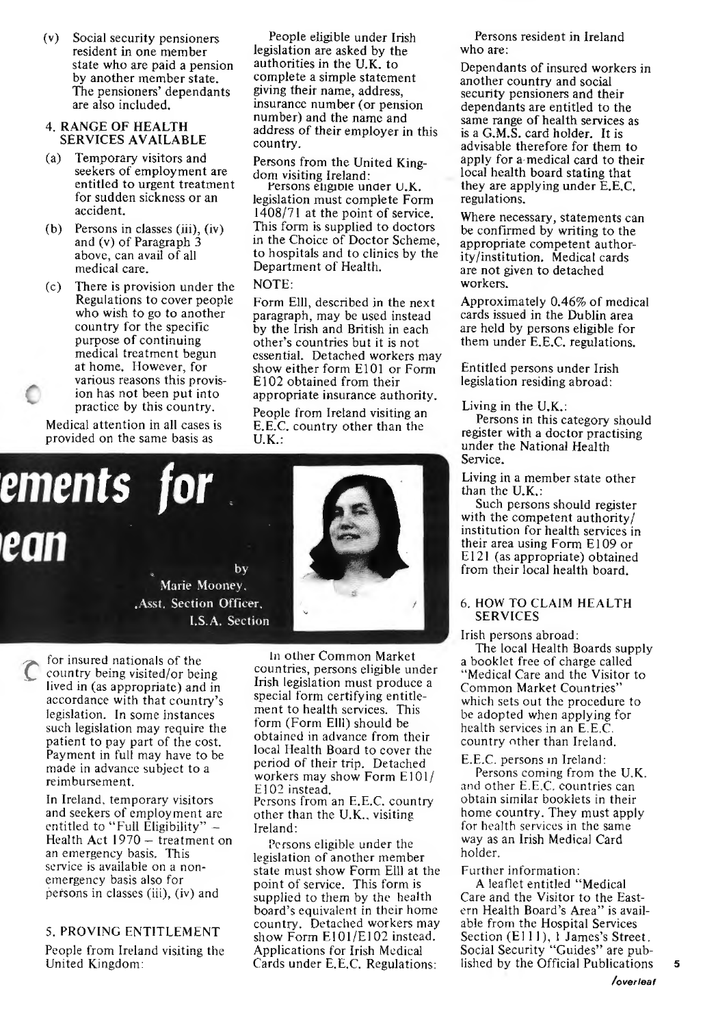(v) Social security pensioners resident in one member state who are paid a pension by another member state. The pensioners' dependants are also included.

#### 4. RANGE OF HEALTH SERVICES AVAILABLE

- (a) Temporary visitors and seekers of employment are entitled to urgent treatment for sudden sickness or an accident.
- (b) Persons in classes (iii), (iv) and (v) of Paragraph 3 above, can avail of all medical care.
- (c) There is provision under the Regulations to cover people who wish to go to another country for the specific purpose of continuing medical treatment begun at home. However, for various reasons this provision has not been put into practice by this country.

Medical attention in all cases is provided on the same basis as

People eligible under Irish legislation are asked by the authorities in the U.K. to complete a simple statement giving their name, address, insurance number (or pension number) and the name and address of their employer in this country.

Persons from the United Kingdom visiting Ireland:

Persons engible under U.K. legislation must complete Form 1408/71 at the point of service. This form is supplied to doctors in the Choice of Doctor Scheme, to hospitals and to clinics by the Department of Health.

#### NOTE:

Form Elll, described in the next paragraph, may be used instead by the Irish and British in each other's countries but it is not essential. Detached workers may show either form E 101 or Form E 102 obtained from their appropriate insurance authority.

People from Ireland visiting an E.E.C. country other than the U.K.:



for insured nationals of the country being visited/or being lived in (as appropriate) and in accordance with that country's legislation. In some instances such legislation may require the patient to pay part of the cost. Payment in full may have to be made in advance subject to a reimbursement.

In Ireland, temporary visitors and seekers of employment are entitled to "Full Eligibility" -Health Act 1970 - treatment on an emergency basis. This service is available on a nonemergency basis also for persons in classes (iii), (iv) and

#### 5. PROVING ENTITLEMENT

People from Ireland visiting the United Kingdom:

In other Common Market countries, persons eligible under Irish legislation must produce a special form certifying entitlement to health services. This form (Form Elll) should be obtained in advance from their local Health Board to cover the period of their trip. Detached workers may show Form E101/ E<sub>102</sub> instead. Persons from an E.E.C. country other than the U.K., visiting Ireland:

Persons eligible under the legislation of another member state must show Form Elll at the point of service. This form is supplied to them by the health board's equivalent in *their* home country. Detached workers may show Form E101/El02 instead. Applications for Irish Medical Cards under E.E.C. Regulations:

Persons resident in Ireland who are:

Dependants of insured workers in another country and social security pensioners and their dependants are entitled to the same range of health services as is a G.M.S. card holder. It is advisable therefore for them to apply for a-medical card to their local health board stating that they are applying under E.E.C. regulations.

Where necessary, statements can be confirmed by writing to the appropriate competent authority/institution. Medical cards are not given to detached workers.

Approximately 0.46% of medical cards issued in the Dublin area are held by persons eligible for them under E.E.C. regulations.

Entitled persons under Irish legislation residing abroad:

Living in the  $U, K, \ldots$ 

Persons in this category should register with a doctor practising under the National Health Service.

Living in a member state other than the U.K.:

Such persons should register with the competent authority/ institution for health services in their area using Form El09 or E121 (as appropriate) obtained from their local health board.

#### 6. HOW TO CLAIM HEALTH SERVICES

Irish persons abroad:

The local Health Boards supply a booklet free of charge called "Medical Care and the Visitor to Common Market Countries" which sets out the procedure to be adopted when applying for health services in an E.E.C. country other than Ireland.

E.E.C. persons m Ireland:

Persons coming from the U.K. and other E.E.C. countries can obtain similar booklets in their home country. They must apply for health services in the same way as an Irish Medical Card holder.

#### Further information:

A leaflet entitled "Medical Care and the Visitor to the Eastern Health Board's Area" is available from the Hospital Services Section (E111), 1 James's Street. Social Security "Guides" are published by the Official Publications

5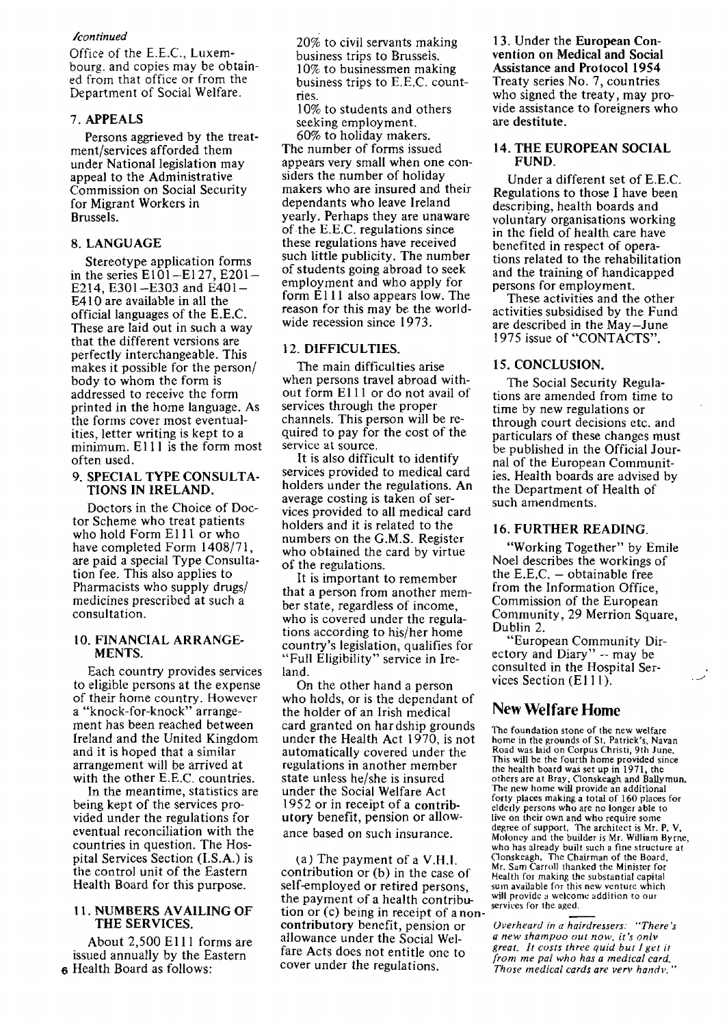#### */continued*

Office of the E.E.C., Luxembourg. and copies may be obtained from that office or from the Department of Social Welfare.

#### 7. APPEALS

Persons aggrieved by the treatment/services afforded them under National legislation may appeal to the Administrative Commission on Social Security for Migrant Workers in Brussels.

#### 8. LANGUAGE

Stereotype application forms in the series  $E101 - E127$ ,  $E201 -$ £214, E301-E303 and E401- E410 are available in all the official languages of the E.E.C. These are laid out in such a way that the different versions are perfectly interchangeable. This makes it possible for the person/ body to whom the form is addressed to receive the form printed in the home language. As the forms cover most eventualities, letter writing is kept to a minimum. E111 is the form most often used.

#### 9. SPECIAL TYPE CONSULTA-TIONS IN IRELAND.

Doctors in the Choice of Doctor Scheme who treat patients who hold Form Elll or who have completed Form 1408/71, are paid a special Type Consultation fee. This also applies to Pharmacists who supply drugs/ medicines prescribed at such a consultation.

#### 10. FINANCIAL ARRANGE-MENTS.

Each country provides services to eligible persons at the expense of their home country. However a "knock-for-knock" arrangement has been reached between Ireland and the United Kingdom and it is hoped that a similar arrangement will be arrived at with the other E.E.C. countries.

In the meantime, statistics are being kept of the services provided under the regulations for eventual reconciliation with the countries in question. The Hospital Services Section (I.S.A.) is the control unit of the Eastern Health Board for this purpose.

#### 11. NUMBERS AVAILING OF THE SERVICES.

About 2,500 Elll forms are issued annually by the Eastern 6 Health Board as follows:

20% to civil servants making business trips to Brussels. 10% to businessmen making business trips to E.E.C. countries.

10% to students and others seeking employment.

60% to holiday makers. The number of forms issued appears very small when one considers the number of holiday makers who are insured and their dependants who leave Ireland yearly. Perhaps they are unaware of.the E.E.C. regulations since these regulations have received such little publicity. The number of students going abroad to seek employment and who apply for form E<sub>111</sub> also appears low. The reason for this may be the worldwide recession since 1973.

#### 12. DIFFICULTIES.

The main difficulties arise when persons travel abroad without form Elll or do not avail of services through the proper channels. This person will be required to pay for the cost of the service at source.

It is also difficult to identify services provided to medical card holders under the regulations. An average costing is taken of services provided to all medical card holders and it is related to the numbers on the G.M.S. Register who obtained the card by virtue of the regulations.

It is important to remember that a person from another member state, regardless of income, who is covered under the regulations according to his/her home country's legislation, qualifies for "Full Eligibility" service in Ireland.

On the other hand a person who holds, or is the dependant of the holder of an Irish medical card granted on hardship grounds under the Health Act 1970, is not automatically covered under the regulations in another member state unless he/she is insured under the Social Welfare Act 1952 or in receipt of a contributory benefit, pension or allowance based on such insurance.

(a) The payment of a V.H.I. contribution or (b) in the case of self-employed or retired persons, sum available for this new venture which<br>the payment of a health contribut will provide a welcome addition to our the payment Of a health COntribu- WJIJ\_PrOVIdC ~ welcom(! add1t100 to our . . . . services for the aged. t10n or (c) bemg m recetpt of anon- \_\_ contributory benefit, pension or *Overheard in a hairdressers: "The*<br>allowance under the Social Wel-<br>*a new shampoo out now, it's only* allowance under the Social Wei- *a new shampoo out now, it's onlv*  fare Acts does not entitle one to<br> *great. It costs three quia but I get it*<br> *from me pal who has a medical card.*<br> *Those medical cards are very handy* 

13. Under the European Convention on Medical and Social Assistance and Protocol 1954 Treaty series No.7, countries who signed the treaty, may provide assistance to foreigners who are destitute.

#### 14. THE EUROPEAN SOCIAL FUND.

Under a different set of E.E.C. Regulations to those I have been describing, health boards and voluntary organisations working in the field of health care have benefited in respect of operations related to the rehabilitation and the training of handicapped persons for employment.

These activities and the other activities subsidised by the Fund are described in the May-June 1975 issue of "CONTACTS".

#### 15. CONCLUSlON.

The Social Security Regulations are amended from time to time by new regulations or through court decisions etc. and particulars of these changes must be published in the Official Journal of the European Communities. Health boards are advised by the Department of Health of such amendments.

#### 16. FURTHER READING.

"Working Together" by Emile Noel describes the workings of the  $E.E.C. - obtainable free$ from the Information Office, Commission of the European Community, 29 Merrion Square, Dublin 2.

"European Community Directory and Diary" - may be consulted in the Hospital Services Section (E111).

•) *.J* 

## New Welfare Home

The foundation stone of the new welfare home in the grounds of St. Patrick's, Navan Road was laid on Corpus Christi, 9th June. This will be the fourth home provided since the health board was set up in 1971, the others are at Bray, Oonskeagh and Ballymun. The new home will provide an additional forty places making a total of 160 places for elderly persons who are no longer able to live on their own and who require some degree of support. The architect is Mr. P. Moloney and the builder is Mr. William Byrne, who has already built such a fine structure at Oonskeagh. The Chairman of the Board, Mr. Sam Carroll thanked the Minister for Health for making the substantial capital<br>sum available for this new venture which

Those medical cards are verv handv."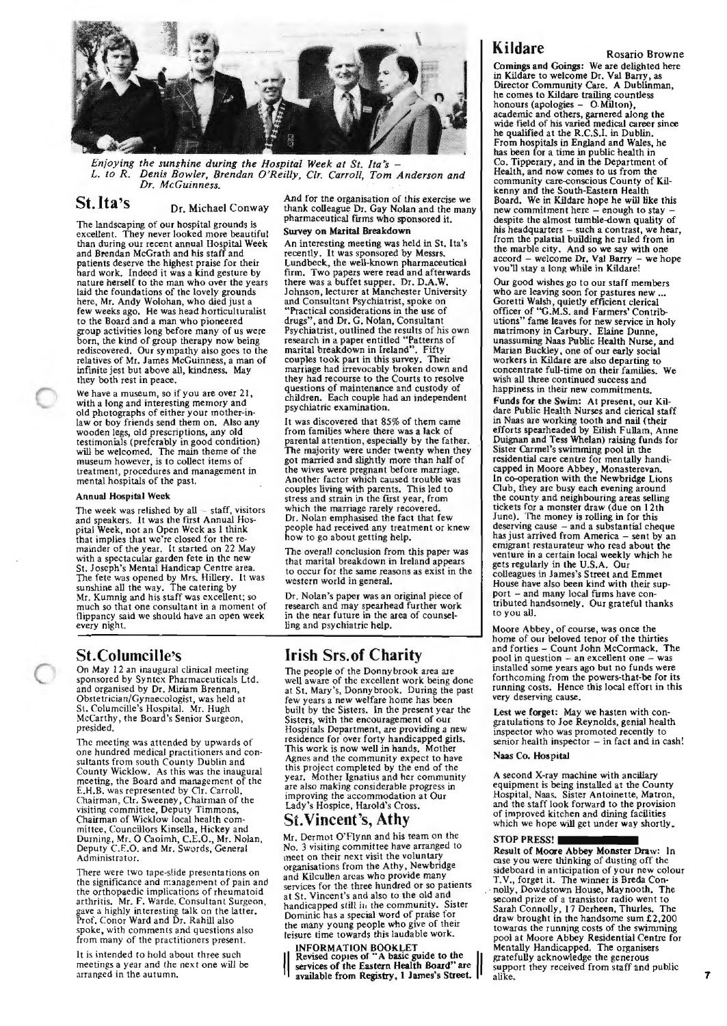

*Enjoying the sunshine during the Hospital Week at St. Ita's - L. to R. Denis Bowler, Brendan O'Reilly, Clr. Carroll, Tom Anderson and Dr. McGuinness.* 

#### **St. Ita's** Dr. Michael Conway

The landscaping of our hospital grounds *is*  excellent. They never looked more beautiful than during our recent annual Hospital Week and Brendan McGrath and his staff and patients deserve the highest praise for their hard work. Indeed it was a kind gesture by nature herself to the man who over the years laid the foundations of the lovely grounds here, Mr. Andy Wolohan, who died just a<br>few weeks ago. He was head horticulturalist to the Board and a man who pioneered group activities long before many of us were born, the kind of group therapy now being rediscovered. Our sympathy also goes to the relatives of Mr. James McGuinness, a man of infmite jest but above all, kindness. May they both rest in peace.

We have a museum, so if you are over 21, with a long and interesting memory and old photographs of either your mother-inlaw or boy friends send them on. Also any wooden legs, old prescriptions, any old testimonials (preferably in good condition) will be welcomed. The main theme of the museum however, is to collect items of treatment, procedures and management in mental hospitals of the past.

#### Annual Hospital Week

The week was relished by  $all - staff$ , visitors and speakers. It was the first Annual Hospital Week, not an Open Week as 1 think that implies that we're closed for the re- mainder of the year. It started on 22 May with a spectacular garden fete in the new St. Joseph's Mental Handicap Centre area. The fete was opened by Mrs. Hillery. It was sunshine all the way. The catering by Mr. Kumnig and his staff was excellent; so much so that one consultant in a moment of flippancy said we should have an open week every night.

#### **St.Columcille's**

On May 12 an inaugural clinical meeting sponsored by Syntex Pharmaceuticals Ltd. and organised by Dr. Miriam Brennan, Obstetrician/Gynaecologist, was held at St. Columcille's Hospital. Mr. Hugh McCarthy, the Board's Senior Surgeon, presided.

The meeting was attended by upwards of<br>sultants from south County Dublin and<br>County Wicklow. As this was the inaugural<br>meeting, the Board and management of the E.H.B. was represented by Or. Carroll, Chairman, Or. Sweeney, Chairman of the visiting committee, Deputy Timmons,<br>Chairman of Wicklow local health com-Chairman of Wicklow local health com- mittee, Councillors Kinsella, Hickey and Durning, Mr. 0 Caoimh, C.E.O., Mr. Nolan, Deputy C.E.O. and Mr. Swords, General Administrator.

There were two tape-slide presentations on the significance and rranagement of pain and the orthopaedic implications of rheumatoid<br>arthritis. Mr. F. Warde, Consultant Surgeon,<br>gave a highly interesting talk on the latter.<br>Prof. Conor Ward and Dr. Rahill also spoke, with comments and questions also from many of the practitioners present.

It is intended to hold about three such meetings a year and the next one will be arranged in the autumn,

And for tne organisation of this exercise we thank colleague Dr. Gay Nolan and the many pharmaceutical fums who sponsored it. Survey on Marital Breakdown

An interesting meeting was held in St. Ita's recently. It was sponsored by Messrs. Lundbeck, the well-known pharmaceutical fum. Two papers were read and afterwards there was a buffet supper. Dr. D.A.W. Johnson, lecturer at Manchester University and Consultant Psychiatrist, spoke on "Practical considerations in the use of drugs", and Dr. G. Nolan, Consultant Psychiatrist, outlined the results of his own research in a paper entitled "Patterns of marital breakdown in Ireland". Fifty couples took part in this survey. Their marriage had irrevocably broken down and they had recourse to the Courts to resolve questions of maintenance and custody of children. Each couple had an independent psychiatric examination.

It was discovered that 85% of them came from families where there was a lack of parental attention, especially by the father. The majority were under twenty when they got married and slightly more than half of the wives were pregnant before marriage. Another factor which caused trouble was couples living with parents. This led to stress and strain in the fust year, from which the marriage rarely recovered. Dr. Nolan emphasised the fact that few people had received any treatment or knew how to go about getting help.

The overall conclusion from this paper was that marital breakdown in Ireland appears to occur for the same reasons as exist in the western world in general.

Dr. Nolan's paper was an original piece of research and may spearhead further work in the near future in the area of counselling and psychiatric help.

## **Irish Srs.of Charity**<br>The people of the Donnybrook area are

well aware of the excellent work being done at St. Mary's, Donnybrook. During the past few years a new welfare home has been built by the Sisters. In the present year the Sisters, with the encouragement of our Hospitals Department, are providing a new residence for over forty handicapped girls. This work is now well in hands. Mother Agnes and the community expect to have this project completed by the end of the year. Mother Ignatius and her community are also making considerable progress in improving the accommodation at Our Lady's Hospice, Harold's Cross.

#### St. **Vincent's, Athy**

Mr. Dermot O'Flynn and his team on the No. 3 visiting committee have arranged to meet on their next visit the voluntary organisations from the A thy, Newbridge and Kilcullen areas who provide many services for the three hundred or so patients at St. Vincent's and also to the old and<br>handicapped still in the community. Sister<br>Dominic has a special word of praise for the many young people who give of their leisure time towards this laudable work.

INFORMATION BOOKLET<br>| Revised copies of "A basic guide to the  $\left\| \right\|$  services of the Eastern Health Board" are  $\left\| \right\|$ <br>| svsilable from Registry. 1 James's Street. available from Registry, 1 James's Street.

Kildare Rosario Browne

Comings and Goings: We are delighted here<br>in Kildare to welcome Dr. Val Barry, as<br>Director Community Care. A Dublinman, he comes to Kildare trailing countless honours (apologies - 0. Milton), academic and others, garnered along the wide field of his varied medical career since he qualified at the R.C.S.I. in Dublin. From hospitals in England and Wales, he has been for a time in public health in Co. Tipperary, and in the Department of Health, and now comes to us from the community care-conscious County of Kilkenny and the South-Eastern Health<br>Board. We in Kildare hope he will like this Board. We in Kildare hope he will like this new commitment here- enough to stay - despite the almost tumble-down quality of his headquarters- such a contrast, we hear, from the palatial building he ruled from in the marble city. And so we say with one<br>accord – welcome Dr. Val Barry – we hope vou'll stay a long while in Kildare!

Our good wishes go to our staff members who are leaving soon for pastures new ...<br>Goretti Walsh, quietly efficient clerical officer of ''G.M.S. and Farmers' Contributions" fame leaves for new service in holy matrimony in Carbury. Elaine Dunne, unassuming Naas Public Health Nurse, and Marian Buckley, one of our early social workers in Kildare are also departing to concentrate full-time on their families. We wish all three continued success and happiness in their new commitments. Funds for the Swim: At present, our Kildare Public Health Nurses and clerical staff in Naas are working tooth and nail {their efforts spearheaded by Eilish Fullam, Anne Duignan and Tess Whelan) raising funds for Sister Carmel's swimming pool in the residential care centre for mentally handicapped in Moore Abbey, Monasterevan. In co-operation with the Newbridge Lions Oub, they are busy each evening around the county and neighbouring areas selling tickets for a monster draw (due on 12th June). The money is rolling in for this deserving cause - and a substantial cheque has just arrived from America - sent by an emigrant restaurateur who read about the venture in a certain local weekly which he gets regularly in the U.S.A. Our colleagues in James's Street and Emmet House have also been kind with their support - and many local fums have con- tributed handsomely. Our grateful thanks to you all.

Moore Abbey, of course, was once the home of our beloved tenor of the thirties and forties -Count John McCormack. The pool in question -an excellent one -was installed some years ago but no funds were forthcoming from the powers-that-be for its running costs. Hence this local effort in this very deserving cause.

Lest we forget: May we hasten with congratulations to Joe Reynolds, genial health inspector who was promoted recently to senior health inspector - in fact and in cash!

#### Naas Co. Hospital

A second X-ray machine with ancillary equipment is being installed at the County Hospital, Naas. Sister Antoinette, Matron, and the stafflook forward to the provision of improved kitchen and dining facilities which we hope will get under way shortly. which we hope will get under way

Result of Moore Abbey Monster Draw: In<br>case you were thinking of dusting off the sideboard in anticipation of your new colour<br>T.V., forget it. The winner is Breda Connolly, Dowdstown House, Maynooth. The second prize of a transistor radio went to Sarah Connolly, 17 Derheen, Thurles. The draw brought in the handsome sum £2,200 towards the running costs of the swimming pool at Moore Abbey Residential Centre for Mentally Handicapped. The organisers gratefully acknowledge the generous support they received from staff and public 7